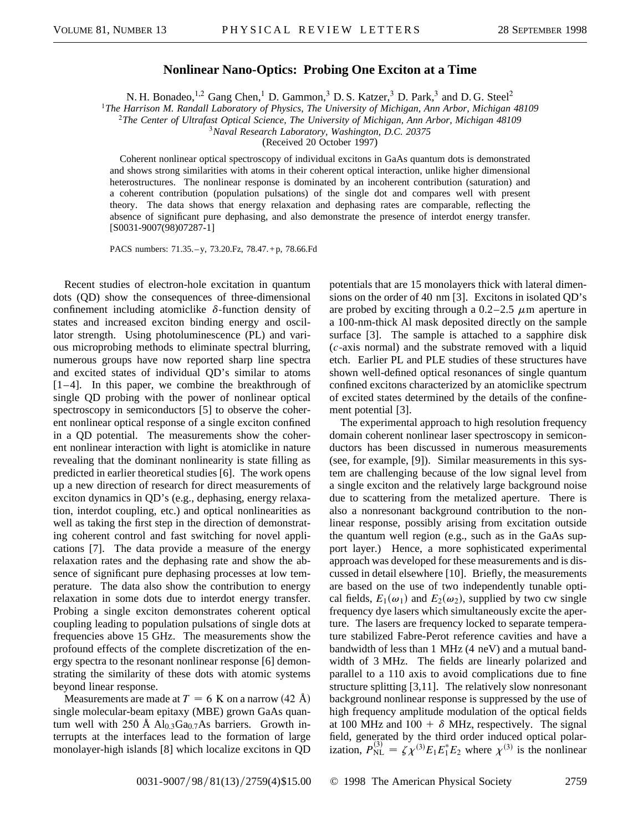## **Nonlinear Nano-Optics: Probing One Exciton at a Time**

N. H. Bonadeo, <sup>1,2</sup> Gang Chen, <sup>1</sup> D. Gammon, <sup>3</sup> D. S. Katzer, <sup>3</sup> D. Park, <sup>3</sup> and D. G. Steel<sup>2</sup>

<sup>1</sup>*The Harrison M. Randall Laboratory of Physics, The University of Michigan, Ann Arbor, Michigan 48109*

<sup>2</sup>*The Center of Ultrafast Optical Science, The University of Michigan, Ann Arbor, Michigan 48109*

<sup>3</sup>*Naval Research Laboratory, Washington, D.C. 20375*

(Received 20 October 1997)

Coherent nonlinear optical spectroscopy of individual excitons in GaAs quantum dots is demonstrated and shows strong similarities with atoms in their coherent optical interaction, unlike higher dimensional heterostructures. The nonlinear response is dominated by an incoherent contribution (saturation) and a coherent contribution (population pulsations) of the single dot and compares well with present theory. The data shows that energy relaxation and dephasing rates are comparable, reflecting the absence of significant pure dephasing, and also demonstrate the presence of interdot energy transfer. [S0031-9007(98)07287-1]

PACS numbers: 71.35. – y, 73.20.Fz, 78.47. + p, 78.66.Fd

Recent studies of electron-hole excitation in quantum dots (QD) show the consequences of three-dimensional confinement including atomiclike  $\delta$ -function density of states and increased exciton binding energy and oscillator strength. Using photoluminescence (PL) and various microprobing methods to eliminate spectral blurring, numerous groups have now reported sharp line spectra and excited states of individual QD's similar to atoms [1–4]. In this paper, we combine the breakthrough of single QD probing with the power of nonlinear optical spectroscopy in semiconductors [5] to observe the coherent nonlinear optical response of a single exciton confined in a QD potential. The measurements show the coherent nonlinear interaction with light is atomiclike in nature revealing that the dominant nonlinearity is state filling as predicted in earlier theoretical studies [6]. The work opens up a new direction of research for direct measurements of exciton dynamics in QD's (e.g., dephasing, energy relaxation, interdot coupling, etc.) and optical nonlinearities as well as taking the first step in the direction of demonstrating coherent control and fast switching for novel applications [7]. The data provide a measure of the energy relaxation rates and the dephasing rate and show the absence of significant pure dephasing processes at low temperature. The data also show the contribution to energy relaxation in some dots due to interdot energy transfer. Probing a single exciton demonstrates coherent optical coupling leading to population pulsations of single dots at frequencies above 15 GHz. The measurements show the profound effects of the complete discretization of the energy spectra to the resonant nonlinear response [6] demonstrating the similarity of these dots with atomic systems beyond linear response.

Measurements are made at  $T = 6$  K on a narrow (42 Å) single molecular-beam epitaxy (MBE) grown GaAs quantum well with 250 Å  $Al<sub>0.3</sub>Ga<sub>0.7</sub>As barriers. Growth in$ terrupts at the interfaces lead to the formation of large monolayer-high islands [8] which localize excitons in QD

potentials that are 15 monolayers thick with lateral dimensions on the order of 40 nm [3]. Excitons in isolated QD's are probed by exciting through a  $0.2-2.5$   $\mu$ m aperture in a 100-nm-thick Al mask deposited directly on the sample surface [3]. The sample is attached to a sapphire disk (*c*-axis normal) and the substrate removed with a liquid etch. Earlier PL and PLE studies of these structures have shown well-defined optical resonances of single quantum confined excitons characterized by an atomiclike spectrum of excited states determined by the details of the confinement potential [3].

The experimental approach to high resolution frequency domain coherent nonlinear laser spectroscopy in semiconductors has been discussed in numerous measurements (see, for example, [9]). Similar measurements in this system are challenging because of the low signal level from a single exciton and the relatively large background noise due to scattering from the metalized aperture. There is also a nonresonant background contribution to the nonlinear response, possibly arising from excitation outside the quantum well region (e.g., such as in the GaAs support layer.) Hence, a more sophisticated experimental approach was developed for these measurements and is discussed in detail elsewhere [10]. Briefly, the measurements are based on the use of two independently tunable optical fields,  $E_1(\omega_1)$  and  $E_2(\omega_2)$ , supplied by two cw single frequency dye lasers which simultaneously excite the aperture. The lasers are frequency locked to separate temperature stabilized Fabre-Perot reference cavities and have a bandwidth of less than 1 MHz (4 neV) and a mutual bandwidth of 3 MHz. The fields are linearly polarized and parallel to a 110 axis to avoid complications due to fine structure splitting [3,11]. The relatively slow nonresonant background nonlinear response is suppressed by the use of high frequency amplitude modulation of the optical fields at 100 MHz and 100 +  $\delta$  MHz, respectively. The signal field, generated by the third order induced optical polarization,  $P_{\text{NL}}^{(3)} = \zeta \chi^{(3)} E_1 E_1^* E_2$  where  $\chi^{(3)}$  is the nonlinear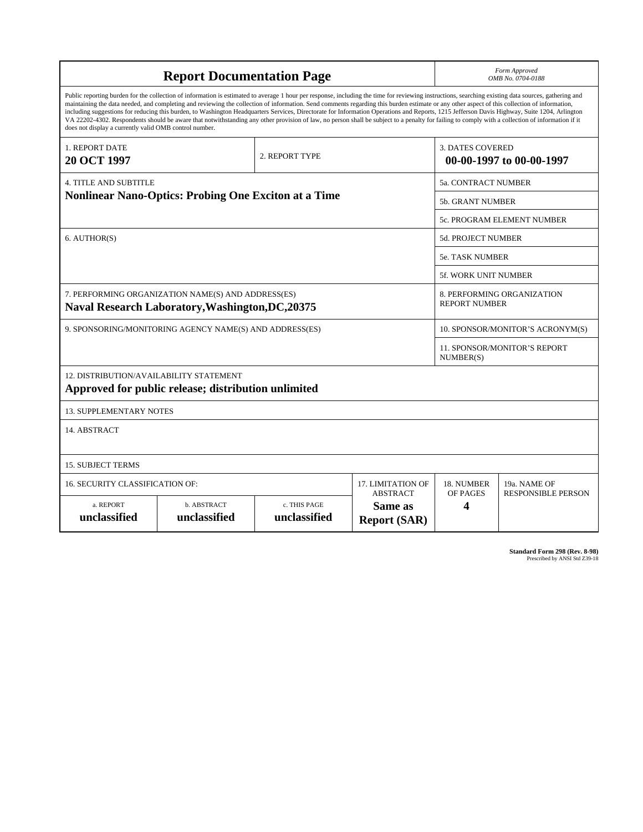| <b>Report Documentation Page</b>                                                                                                                                                                                                                                                                                                                                                                                                                                                                                                                                                                                                                                                                                                                                                                                                                                   |                             |                              |                                | Form Approved<br>OMB No. 0704-0188                  |                                           |
|--------------------------------------------------------------------------------------------------------------------------------------------------------------------------------------------------------------------------------------------------------------------------------------------------------------------------------------------------------------------------------------------------------------------------------------------------------------------------------------------------------------------------------------------------------------------------------------------------------------------------------------------------------------------------------------------------------------------------------------------------------------------------------------------------------------------------------------------------------------------|-----------------------------|------------------------------|--------------------------------|-----------------------------------------------------|-------------------------------------------|
| Public reporting burden for the collection of information is estimated to average 1 hour per response, including the time for reviewing instructions, searching existing data sources, gathering and<br>maintaining the data needed, and completing and reviewing the collection of information. Send comments regarding this burden estimate or any other aspect of this collection of information,<br>including suggestions for reducing this burden, to Washington Headquarters Services, Directorate for Information Operations and Reports, 1215 Jefferson Davis Highway, Suite 1204, Arlington<br>VA 22202-4302. Respondents should be aware that notwithstanding any other provision of law, no person shall be subject to a penalty for failing to comply with a collection of information if it<br>does not display a currently valid OMB control number. |                             |                              |                                |                                                     |                                           |
| 1. REPORT DATE<br>2. REPORT TYPE<br><b>20 OCT 1997</b>                                                                                                                                                                                                                                                                                                                                                                                                                                                                                                                                                                                                                                                                                                                                                                                                             |                             |                              |                                | <b>3. DATES COVERED</b><br>00-00-1997 to 00-00-1997 |                                           |
| 4. TITLE AND SUBTITLE                                                                                                                                                                                                                                                                                                                                                                                                                                                                                                                                                                                                                                                                                                                                                                                                                                              |                             |                              |                                | <b>5a. CONTRACT NUMBER</b>                          |                                           |
| <b>Nonlinear Nano-Optics: Probing One Exciton at a Time</b>                                                                                                                                                                                                                                                                                                                                                                                                                                                                                                                                                                                                                                                                                                                                                                                                        |                             |                              |                                | <b>5b. GRANT NUMBER</b>                             |                                           |
|                                                                                                                                                                                                                                                                                                                                                                                                                                                                                                                                                                                                                                                                                                                                                                                                                                                                    |                             |                              |                                | 5c. PROGRAM ELEMENT NUMBER                          |                                           |
| 6. AUTHOR(S)                                                                                                                                                                                                                                                                                                                                                                                                                                                                                                                                                                                                                                                                                                                                                                                                                                                       |                             |                              |                                | <b>5d. PROJECT NUMBER</b>                           |                                           |
|                                                                                                                                                                                                                                                                                                                                                                                                                                                                                                                                                                                                                                                                                                                                                                                                                                                                    |                             |                              |                                | <b>5e. TASK NUMBER</b>                              |                                           |
|                                                                                                                                                                                                                                                                                                                                                                                                                                                                                                                                                                                                                                                                                                                                                                                                                                                                    |                             |                              |                                | 5f. WORK UNIT NUMBER                                |                                           |
| 7. PERFORMING ORGANIZATION NAME(S) AND ADDRESS(ES)<br><b>Naval Research Laboratory, Washington, DC, 20375</b>                                                                                                                                                                                                                                                                                                                                                                                                                                                                                                                                                                                                                                                                                                                                                      |                             |                              |                                | 8. PERFORMING ORGANIZATION<br><b>REPORT NUMBER</b>  |                                           |
| 9. SPONSORING/MONITORING AGENCY NAME(S) AND ADDRESS(ES)                                                                                                                                                                                                                                                                                                                                                                                                                                                                                                                                                                                                                                                                                                                                                                                                            |                             |                              |                                | 10. SPONSOR/MONITOR'S ACRONYM(S)                    |                                           |
|                                                                                                                                                                                                                                                                                                                                                                                                                                                                                                                                                                                                                                                                                                                                                                                                                                                                    |                             |                              |                                | 11. SPONSOR/MONITOR'S REPORT<br>NUMBER(S)           |                                           |
| 12. DISTRIBUTION/AVAILABILITY STATEMENT<br>Approved for public release; distribution unlimited                                                                                                                                                                                                                                                                                                                                                                                                                                                                                                                                                                                                                                                                                                                                                                     |                             |                              |                                |                                                     |                                           |
| <b>13. SUPPLEMENTARY NOTES</b>                                                                                                                                                                                                                                                                                                                                                                                                                                                                                                                                                                                                                                                                                                                                                                                                                                     |                             |                              |                                |                                                     |                                           |
| 14. ABSTRACT                                                                                                                                                                                                                                                                                                                                                                                                                                                                                                                                                                                                                                                                                                                                                                                                                                                       |                             |                              |                                |                                                     |                                           |
| <b>15. SUBJECT TERMS</b>                                                                                                                                                                                                                                                                                                                                                                                                                                                                                                                                                                                                                                                                                                                                                                                                                                           |                             |                              |                                |                                                     |                                           |
| 16. SECURITY CLASSIFICATION OF:<br>17. LIMITATION OF<br><b>ABSTRACT</b>                                                                                                                                                                                                                                                                                                                                                                                                                                                                                                                                                                                                                                                                                                                                                                                            |                             |                              |                                | 18. NUMBER<br>OF PAGES                              | 19a. NAME OF<br><b>RESPONSIBLE PERSON</b> |
| a. REPORT<br>unclassified                                                                                                                                                                                                                                                                                                                                                                                                                                                                                                                                                                                                                                                                                                                                                                                                                                          | b. ABSTRACT<br>unclassified | c. THIS PAGE<br>unclassified | Same as<br><b>Report (SAR)</b> | 4                                                   |                                           |

**Standard Form 298 (Rev. 8-98)**<br>Prescribed by ANSI Std Z39-18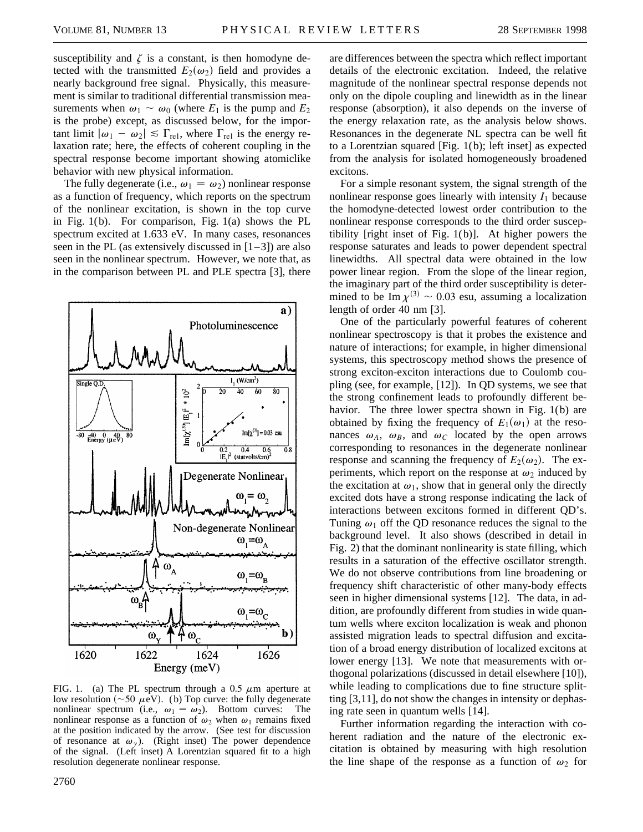susceptibility and  $\zeta$  is a constant, is then homodyne detected with the transmitted  $E_2(\omega_2)$  field and provides a nearly background free signal. Physically, this measurement is similar to traditional differential transmission measurements when  $\omega_1 \sim \omega_0$  (where  $E_1$  is the pump and  $E_2$ ) is the probe) except, as discussed below, for the important limit  $|\omega_1 - \omega_2| \leq \Gamma_{\text{rel}}$ , where  $\Gamma_{\text{rel}}$  is the energy relaxation rate; here, the effects of coherent coupling in the spectral response become important showing atomiclike behavior with new physical information.

The fully degenerate (i.e.,  $\omega_1 = \omega_2$ ) nonlinear response as a function of frequency, which reports on the spectrum of the nonlinear excitation, is shown in the top curve in Fig. 1(b). For comparison, Fig. 1(a) shows the PL spectrum excited at 1.633 eV. In many cases, resonances seen in the PL (as extensively discussed in  $[1-3]$ ) are also seen in the nonlinear spectrum. However, we note that, as in the comparison between PL and PLE spectra [3], there



FIG. 1. (a) The PL spectrum through a 0.5  $\mu$ m aperture at low resolution ( $\sim$ 50  $\mu$ eV). (b) Top curve: the fully degenerate nonlinear spectrum (i.e.,  $\omega_1 = \omega_2$ ). Bottom curves: The nonlinear response as a function of  $\omega_2$  when  $\omega_1$  remains fixed at the position indicated by the arrow. (See test for discussion of resonance at  $\omega_{\gamma}$ ). (Right inset) The power dependence of the signal. (Left inset) A Lorentzian squared fit to a high resolution degenerate nonlinear response.

2760

are differences between the spectra which reflect important details of the electronic excitation. Indeed, the relative magnitude of the nonlinear spectral response depends not only on the dipole coupling and linewidth as in the linear response (absorption), it also depends on the inverse of the energy relaxation rate, as the analysis below shows. Resonances in the degenerate NL spectra can be well fit to a Lorentzian squared [Fig. 1(b); left inset] as expected from the analysis for isolated homogeneously broadened excitons.

For a simple resonant system, the signal strength of the nonlinear response goes linearly with intensity  $I_1$  because the homodyne-detected lowest order contribution to the nonlinear response corresponds to the third order susceptibility [right inset of Fig. 1(b)]. At higher powers the response saturates and leads to power dependent spectral linewidths. All spectral data were obtained in the low power linear region. From the slope of the linear region, the imaginary part of the third order susceptibility is determined to be Im  $\chi^{(3)} \sim 0.03$  esu, assuming a localization length of order 40 nm [3].

One of the particularly powerful features of coherent nonlinear spectroscopy is that it probes the existence and nature of interactions; for example, in higher dimensional systems, this spectroscopy method shows the presence of strong exciton-exciton interactions due to Coulomb coupling (see, for example, [12]). In QD systems, we see that the strong confinement leads to profoundly different behavior. The three lower spectra shown in Fig. 1(b) are obtained by fixing the frequency of  $E_1(\omega_1)$  at the resonances  $\omega_A$ ,  $\omega_B$ , and  $\omega_C$  located by the open arrows corresponding to resonances in the degenerate nonlinear response and scanning the frequency of  $E_2(\omega_2)$ . The experiments, which report on the response at  $\omega_2$  induced by the excitation at  $\omega_1$ , show that in general only the directly excited dots have a strong response indicating the lack of interactions between excitons formed in different QD's. Tuning  $\omega_1$  off the QD resonance reduces the signal to the background level. It also shows (described in detail in Fig. 2) that the dominant nonlinearity is state filling, which results in a saturation of the effective oscillator strength. We do not observe contributions from line broadening or frequency shift characteristic of other many-body effects seen in higher dimensional systems [12]. The data, in addition, are profoundly different from studies in wide quantum wells where exciton localization is weak and phonon assisted migration leads to spectral diffusion and excitation of a broad energy distribution of localized excitons at lower energy [13]. We note that measurements with orthogonal polarizations (discussed in detail elsewhere [10]), while leading to complications due to fine structure splitting [3,11], do not show the changes in intensity or dephasing rate seen in quantum wells [14].

Further information regarding the interaction with coherent radiation and the nature of the electronic excitation is obtained by measuring with high resolution the line shape of the response as a function of  $\omega_2$  for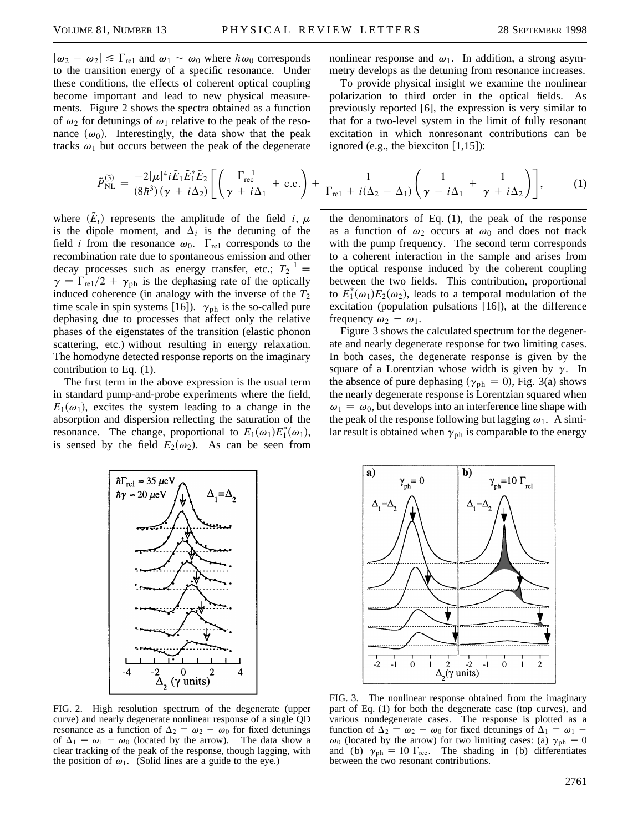$|\omega_2 - \omega_2| \le \Gamma_{\text{rel}}$  and  $\omega_1 \sim \omega_0$  where  $\hbar \omega_0$  corresponds to the transition energy of a specific resonance. Under these conditions, the effects of coherent optical coupling become important and lead to new physical measurements. Figure 2 shows the spectra obtained as a function of  $\omega_2$  for detunings of  $\omega_1$  relative to the peak of the resonance  $(\omega_0)$ . Interestingly, the data show that the peak tracks  $\omega_1$  but occurs between the peak of the degenerate

$$
\tilde{P}_{\mathrm{NL}}^{(3)} = \frac{-2|\mu|^4 i \tilde{E}_1 \tilde{E}_1^* \tilde{E}_2}{(8\hbar^3)(\gamma + i\Delta_2)} \Bigg[ \left( \frac{\Gamma_{\mathrm{rec}}^{-1}}{\gamma + i\Delta_1} + \mathrm{c.c.} \right) + \frac{\Gamma_{\mathrm{rel}}}{\Gamma_{\mathrm{rel}}}
$$

where  $(\tilde{E}_i)$  represents the amplitude of the field *i*,  $\mu$ is the dipole moment, and  $\Delta_i$  is the detuning of the field *i* from the resonance  $\omega_0$ .  $\Gamma_{\text{rel}}$  corresponds to the recombination rate due to spontaneous emission and other decay processes such as energy transfer, etc.;  $T_2^{-1} \equiv$  $\gamma = \Gamma_{\text{rel}}/2 + \gamma_{\text{ph}}$  is the dephasing rate of the optically induced coherence (in analogy with the inverse of the  $T_2$ time scale in spin systems [16]).  $\gamma_{ph}$  is the so-called pure dephasing due to processes that affect only the relative phases of the eigenstates of the transition (elastic phonon scattering, etc.) without resulting in energy relaxation. The homodyne detected response reports on the imaginary contribution to Eq. (1).

The first term in the above expression is the usual term in standard pump-and-probe experiments where the field,  $E_1(\omega_1)$ , excites the system leading to a change in the absorption and dispersion reflecting the saturation of the resonance. The change, proportional to  $E_1(\omega_1)E_1^*(\omega_1)$ , is sensed by the field  $E_2(\omega_2)$ . As can be seen from nonlinear response and  $\omega_1$ . In addition, a strong asymmetry develops as the detuning from resonance increases.

To provide physical insight we examine the nonlinear polarization to third order in the optical fields. As previously reported [6], the expression is very similar to that for a two-level system in the limit of fully resonant excitation in which nonresonant contributions can be ignored (e.g., the biexciton  $[1,15]$ ):

$$
\frac{1}{\Delta_1} + \text{c.c.}\bigg) + \frac{1}{\Gamma_{\text{rel}} + i(\Delta_2 - \Delta_1)} \bigg(\frac{1}{\gamma - i\Delta_1} + \frac{1}{\gamma + i\Delta_2}\bigg)\bigg],\tag{1}
$$

the denominators of Eq. (1), the peak of the response as a function of  $\omega_2$  occurs at  $\omega_0$  and does not track with the pump frequency. The second term corresponds to a coherent interaction in the sample and arises from the optical response induced by the coherent coupling between the two fields. This contribution, proportional to  $E_1^*(\omega_1)E_2(\omega_2)$ , leads to a temporal modulation of the excitation (population pulsations [16]), at the difference frequency  $\omega_2 - \omega_1$ .

Figure 3 shows the calculated spectrum for the degenerate and nearly degenerate response for two limiting cases. In both cases, the degenerate response is given by the square of a Lorentzian whose width is given by  $\gamma$ . In the absence of pure dephasing ( $\gamma_{ph} = 0$ ), Fig. 3(a) shows the nearly degenerate response is Lorentzian squared when  $\omega_1 = \omega_0$ , but develops into an interference line shape with the peak of the response following but lagging  $\omega_1$ . A similar result is obtained when  $\gamma_{ph}$  is comparable to the energy





FIG. 2. High resolution spectrum of the degenerate (upper curve) and nearly degenerate nonlinear response of a single QD resonance as a function of  $\Delta_2 = \omega_2 - \omega_0$  for fixed detunings of  $\Delta_1 = \omega_1 - \omega_0$  (located by the arrow). The data show a clear tracking of the peak of the response, though lagging, with the position of  $\omega_1$ . (Solid lines are a guide to the eye.)

FIG. 3. The nonlinear response obtained from the imaginary part of Eq. (1) for both the degenerate case (top curves), and various nondegenerate cases. The response is plotted as a function of  $\Delta_2 = \omega_2 - \omega_0$  for fixed detunings of  $\Delta_1 = \omega_1$  - $\omega_0$  (located by the arrow) for two limiting cases: (a)  $\gamma_{ph} = 0$ and (b)  $\gamma_{ph} = 10 \Gamma_{rec}$ . The shading in (b) differentiates between the two resonant contributions.